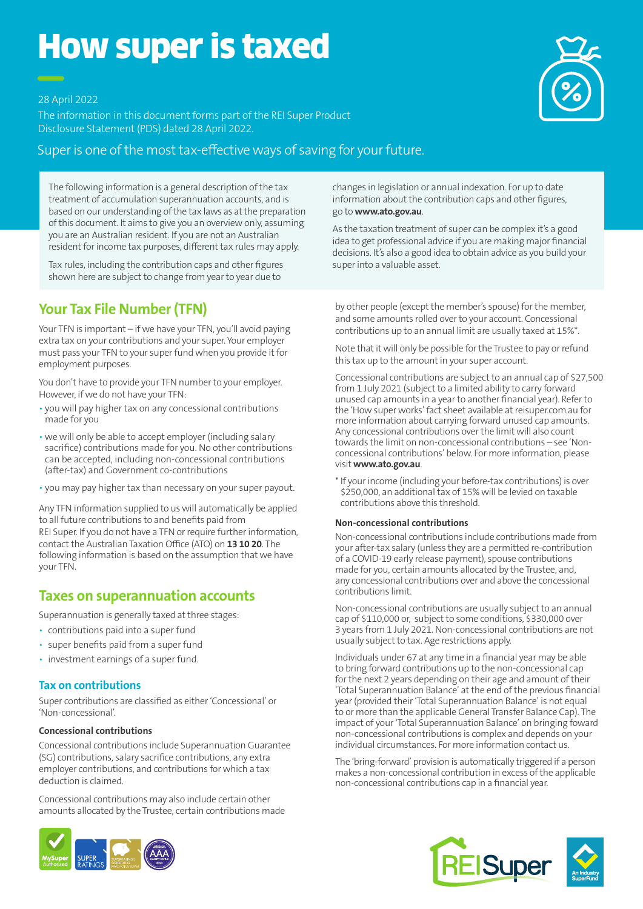# How super is taxed

28 April 2022

The information in this document forms part of the REI Super Product Disclosure Statement (PDS) dated 28 April 2022.

### Super is one of the most tax-effective ways of saving for your future.

The following information is a general description of the tax treatment of accumulation superannuation accounts, and is based on our understanding of the tax laws as at the preparation of this document. It aims to give you an overview only, assuming you are an Australian resident. If you are not an Australian resident for income tax purposes, different tax rules may apply.

Tax rules, including the contribution caps and other figures shown here are subject to change from year to year due to

# **Your Tax File Number (TFN)**

Your TFN is important – if we have your TFN, you'll avoid paying extra tax on your contributions and your super. Your employer must pass your TFN to your super fund when you provide it for employment purposes.

You don't have to provide your TFN number to your employer. However, if we do not have your TFN:

- you will pay higher tax on any concessional contributions made for you
- we will only be able to accept employer (including salary sacrifice) contributions made for you. No other contributions can be accepted, including non-concessional contributions (after-tax) and Government co-contributions
- you may pay higher tax than necessary on your super payout.

Any TFN information supplied to us will automatically be applied to all future contributions to and benefits paid from REI Super. If you do not have a TFN or require further information, contact the Australian Taxation Office (ATO) on **13 10 20**. The following information is based on the assumption that we have your TFN.

# **Taxes on superannuation accounts**

Superannuation is generally taxed at three stages:

- contributions paid into a super fund
- super benefits paid from a super fund
- investment earnings of a super fund.

#### **Tax on contributions**

Super contributions are classified as either 'Concessional' or 'Non-concessional'.

#### **Concessional contributions**

Concessional contributions include Superannuation Guarantee (SG) contributions, salary sacrifice contributions, any extra employer contributions, and contributions for which a tax deduction is claimed.

Concessional contributions may also include certain other amounts allocated by the Trustee, certain contributions made



changes in legislation or annual indexation. For up to date information about the contribution caps and other figures, go to **www.ato.gov.au**.

As the taxation treatment of super can be complex it's a good idea to get professional advice if you are making major financial decisions. It's also a good idea to obtain advice as you build your super into a valuable asset.

by other people (except the member's spouse) for the member, and some amounts rolled over to your account. Concessional contributions up to an annual limit are usually taxed at 15%\*.

Note that it will only be possible for the Trustee to pay or refund this tax up to the amount in your super account.

Concessional contributions are subject to an annual cap of \$27,500 from 1 July 2021 (subject to a limited ability to carry forward unused cap amounts in a year to another financial year). Refer to the 'How super works' fact sheet available at reisuper.com.au for more information about carrying forward unused cap amounts. Any concessional contributions over the limit will also count towards the limit on non-concessional contributions – see 'Nonconcessional contributions' below. For more information, please visit **www.ato.gov.au**.

\* If your income (including your before-tax contributions) is over \$250,000, an additional tax of 15% will be levied on taxable contributions above this threshold.

#### **Non-concessional contributions**

Non-concessional contributions include contributions made from your after-tax salary (unless they are a permitted re-contribution of a COVID-19 early release payment), spouse contributions made for you, certain amounts allocated by the Trustee, and, any concessional contributions over and above the concessional contributions limit.

Non-concessional contributions are usually subject to an annual cap of \$110,000 or, subject to some conditions, \$330,000 over 3 years from 1 July 2021. Non-concessional contributions are not usually subject to tax. Age restrictions apply.

Individuals under 67 at any time in a financial year may be able to bring forward contributions up to the non-concessional cap for the next 2 years depending on their age and amount of their 'Total Superannuation Balance' at the end of the previous financial year (provided their 'Total Superannuation Balance' is not equal to or more than the applicable General Transfer Balance Cap). The impact of your 'Total Superannuation Balance' on bringing foward non-concessional contributions is complex and depends on your individual circumstances. For more information contact us.

The 'bring-forward' provision is automatically triggered if a person makes a non-concessional contribution in excess of the applicable non-concessional contributions cap in a financial year.





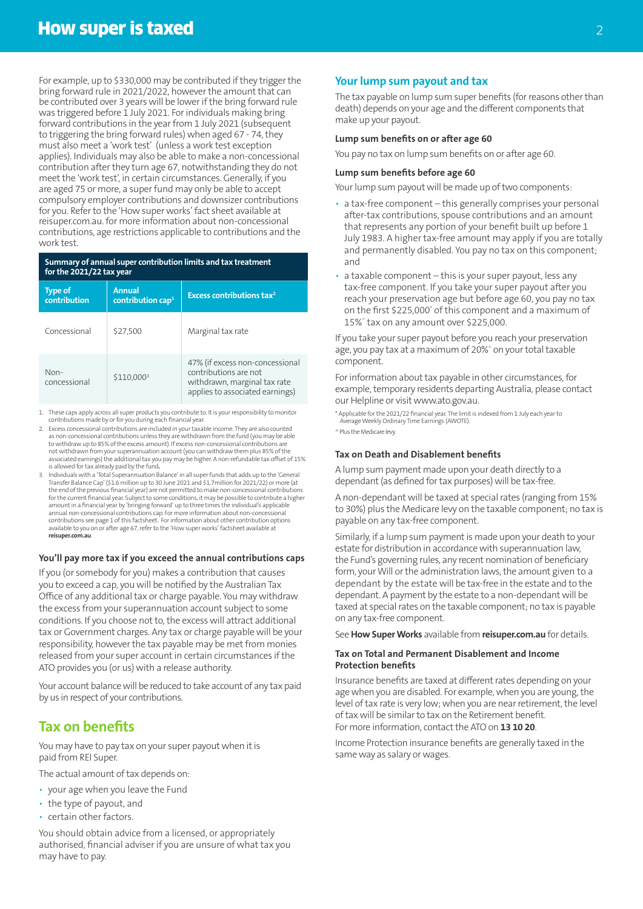For example, up to \$330,000 may be contributed if they trigger the bring forward rule in 2021/2022, however the amount that can be contributed over 3 years will be lower if the bring forward rule was triggered before 1 July 2021. For individuals making bring forward contributions in the year from 1 July 2021 (subsequent to triggering the bring forward rules) when aged 67 - 74, they must also meet a 'work test' (unless a work test exception applies). Individuals may also be able to make a non-concessional contribution after they turn age 67, notwithstanding they do not meet the 'work test', in certain circumstances. Generally, if you are aged 75 or more, a super fund may only be able to accept compulsory employer contributions and downsizer contributions for you. Refer to the 'How super works' fact sheet available at reisuper.com.au. for more information about non-concessional contributions, age restrictions applicable to contributions and the work test.

#### **Summary of annual super contribution limits and tax treatment for the 2021/22 tax year**

| <b>Type of</b><br>contribution | <b>Annual</b><br>contribution cap <sup>1</sup> | Excess contributions tax <sup>2</sup>                                                                                       |
|--------------------------------|------------------------------------------------|-----------------------------------------------------------------------------------------------------------------------------|
| Concessional                   | \$27,500                                       | Marginal tax rate                                                                                                           |
| Non-<br>concessional           | \$110,0003                                     | 47% (if excess non-concessional<br>contributions are not<br>withdrawn, marginal tax rate<br>applies to associated earnings) |

1. These caps apply across all super products you contribute to. It is your responsibility to monitor contributions made by or for you during each financial year.

- 2. Excess concessional contributions are included in your taxable income. They are also counted as non-concessional contributions unless they are withdrawn from the fund (you may be able to withdraw up to 85% of the excess amount). If excess non-concessional contributions are not withdrawn from your superannuation account (you can withdraw them plus 85% of the associated earnings) the additional tax you pay may be higher. A non-refundable tax offset of 15% is allowed for tax already paid by the fund**.**
- 3. Individuals with a 'Total Superannuation Balance' in all super funds that adds up to the 'General Transfer Balance Cap' (\$1.6 million up to 30 June 2021 and \$1.7million for 2021/22) or more (at the end of the previous financial year) are not permitted to make non-concessional contributions for the current financial year. Subject to some conditions, it may be possible to contribute a higher amount in a financial year by 'bringing forward' up to three times the individual's applicable annual non-concessional contributions cap. For more information about non-concessional<br>contributions see page 1 of this factsheet. For information about other contribution options<br>available to you on or after age 67, refer **reisuper.com.au**.

#### **You'll pay more tax if you exceed the annual contributions caps**

If you (or somebody for you) makes a contribution that causes you to exceed a cap, you will be notified by the Australian Tax Office of any additional tax or charge payable. You may withdraw the excess from your superannuation account subject to some conditions. If you choose not to, the excess will attract additional tax or Government charges. Any tax or charge payable will be your responsibility, however the tax payable may be met from monies released from your super account in certain circumstances if the ATO provides you (or us) with a release authority.

Your account balance will be reduced to take account of any tax paid by us in respect of your contributions.

# **Tax on benefits**

You may have to pay tax on your super payout when it is paid from REI Super.

The actual amount of tax depends on:

- your age when you leave the Fund
- the type of payout, and
- certain other factors.

You should obtain advice from a licensed, or appropriately authorised, financial adviser if you are unsure of what tax you may have to pay.

#### **Your lump sum payout and tax**

The tax payable on lump sum super benefits (for reasons other than death) depends on your age and the different components that make up your payout.

#### **Lump sum benefits on or after age 60**

You pay no tax on lump sum benefits on or after age 60.

#### **Lump sum benefits before age 60**

Your lump sum payout will be made up of two components:

- a tax-free component this generally comprises your personal after-tax contributions, spouse contributions and an amount that represents any portion of your benefit built up before 1 July 1983. A higher tax-free amount may apply if you are totally and permanently disabled. You pay no tax on this component; and
- a taxable component this is your super payout, less any tax-free component. If you take your super payout after you reach your preservation age but before age 60, you pay no tax on the first \$225,000° of this component and a maximum of 15%^ tax on any amount over \$225,000.

If you take your super payout before you reach your preservation age, you pay tax at a maximum of 20%^ on your total taxable component.

For information about tax payable in other circumstances, for example, temporary residents departing Australia, please contact our Helpline or visit www.ato.gov.au.

\* Applicable for the 2021/22 financial year. The limit is indexed from 1 July each year to Average Weekly Ordinary Time Earnings (AWOTE).

^ Plus the Medicare levy.

#### **Tax on Death and Disablement benefits**

A lump sum payment made upon your death directly to a dependant (as defined for tax purposes) will be tax-free.

A non-dependant will be taxed at special rates (ranging from 15% to 30%) plus the Medicare levy on the taxable component; no tax is payable on any tax-free component.

Similarly, if a lump sum payment is made upon your death to your estate for distribution in accordance with superannuation law, the Fund's governing rules, any recent nomination of beneficiary form, your Will or the administration laws, the amount given to a dependant by the estate will be tax-free in the estate and to the dependant. A payment by the estate to a non-dependant will be taxed at special rates on the taxable component; no tax is payable on any tax-free component.

See **How Super Works** available from **reisuper.com.au** for details.

#### **Tax on Total and Permanent Disablement and Income Protection benefits**

Insurance benefits are taxed at different rates depending on your age when you are disabled. For example, when you are young, the level of tax rate is very low; when you are near retirement, the level of tax will be similar to tax on the Retirement benefit. For more information, contact the ATO on **13 10 20**.

Income Protection insurance benefits are generally taxed in the same way as salary or wages.